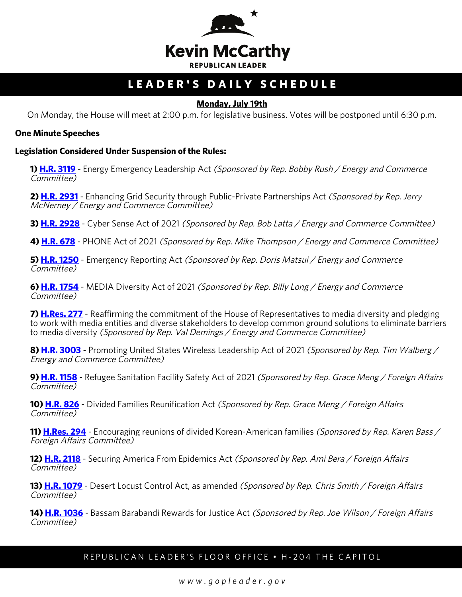

# **LEADER'S DAILY SCHEDULE**

### **Monday, July 19th**

On Monday, the House will meet at 2:00 p.m. for legislative business. Votes will be postponed until 6:30 p.m.

#### **One Minute Speeches**

#### **Legislation Considered Under Suspension of the Rules:**

**1) [H.R. 3119](http://docs.house.gov/billsthisweek/20210719/BILLS-117hr3119-SUS.pdf)** - Energy Emergency Leadership Act (Sponsored by Rep. Bobby Rush / Energy and Commerce Committee)

**2) [H.R. 2931](http://docs.house.gov/billsthisweek/20210719/BILLS-117hr2931-SUS.pdf)** - Enhancing Grid Security through Public-Private Partnerships Act (Sponsored by Rep. Jerry McNerney / Energy and Commerce Committee)

**3) <b>[H.R. 2928](http://docs.house.gov/billsthisweek/20210719/BILLS-117hr2928-SUS.pdf)** - Cyber Sense Act of 2021 (Sponsored by Rep. Bob Latta / Energy and Commerce Committee)

**4) [H.R. 678](http://docs.house.gov/billsthisweek/20210719/BILLS-117hr678-SUS.pdf)** - PHONE Act of 2021 (Sponsored by Rep. Mike Thompson / Energy and Commerce Committee)

**5) [H.R. 1250](http://docs.house.gov/billsthisweek/20210719/BILLS-117hr1250-SUS.pdf)** - Emergency Reporting Act (Sponsored by Rep. Doris Matsui / Energy and Commerce Committee)

**6) [H.R. 1754](http://docs.house.gov/billsthisweek/20210719/BILLS-117hr1754-SUS.pdf)** - MEDIA Diversity Act of 2021 (Sponsored by Rep. Billy Long / Energy and Commerce Committee)

**7) [H.Res. 277](http://docs.house.gov/billsthisweek/20210719/BILLS-117hres277-SUS.pdf)** - Reaffirming the commitment of the House of Representatives to media diversity and pledging to work with media entities and diverse stakeholders to develop common ground solutions to eliminate barriers to media diversity (Sponsored by Rep. Val Demings / Energy and Commerce Committee)

**8) [H.R. 3003](http://docs.house.gov/billsthisweek/20210719/BILLS-117hr3003-SUS.pdf)** - Promoting United States Wireless Leadership Act of 2021 (Sponsored by Rep. Tim Walberg / Energy and Commerce Committee)

**9) [H.R. 1158](http://docs.house.gov/billsthisweek/20210719/BILLS-117hr1158-SUS.pdf)** - Refugee Sanitation Facility Safety Act of 2021 (Sponsored by Rep. Grace Meng / Foreign Affairs Committee)

**10) [H.R. 826](http://docs.house.gov/billsthisweek/20210719/BILLS-117hr826-SUS.pdf)** - Divided Families Reunification Act (Sponsored by Rep. Grace Meng / Foreign Affairs Committee)

11) **H.Res. 294** - Encouraging reunions of divided Korean-American families (Sponsored by Rep. Karen Bass / Foreign Affairs Committee)

**12) [H.R. 2118](http://docs.house.gov/billsthisweek/20210719/BILLS-117hr2118-SUS.pdf)** - Securing America From Epidemics Act (Sponsored by Rep. Ami Bera / Foreign Affairs Committee)

**13) [H.R. 1079](http://docs.house.gov/billsthisweek/20210719/BILLS-117hr1079-SUS.pdf)** - Desert Locust Control Act, as amended (Sponsored by Rep. Chris Smith / Foreign Affairs Committee)

**14) [H.R. 1036](http://docs.house.gov/billsthisweek/20210719/BILLS-117hr1036-SUS.pdf)** - Bassam Barabandi Rewards for Justice Act (Sponsored by Rep. Joe Wilson / Foreign Affairs Committee)

## REPUBLICAN LEADER'S FLOOR OFFICE • H-204 THE CAPITOL